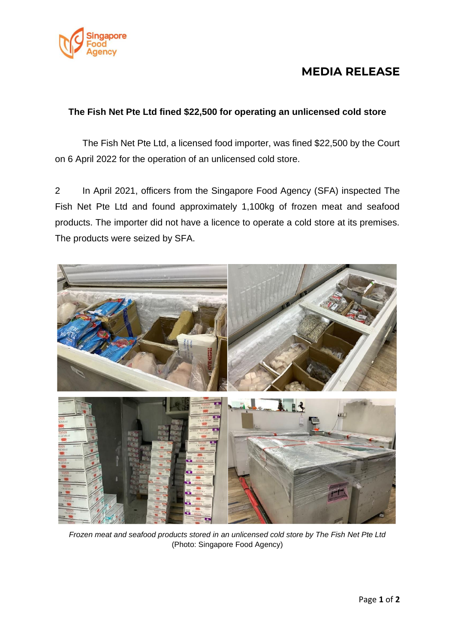

## **MEDIA RELEASE**

## **The Fish Net Pte Ltd fined \$22,500 for operating an unlicensed cold store**

The Fish Net Pte Ltd, a licensed food importer, was fined \$22,500 by the Court on 6 April 2022 for the operation of an unlicensed cold store.

2 In April 2021, officers from the Singapore Food Agency (SFA) inspected The Fish Net Pte Ltd and found approximately 1,100kg of frozen meat and seafood products. The importer did not have a licence to operate a cold store at its premises. The products were seized by SFA.



*Frozen meat and seafood products stored in an unlicensed cold store by The Fish Net Pte Ltd* (Photo: Singapore Food Agency)